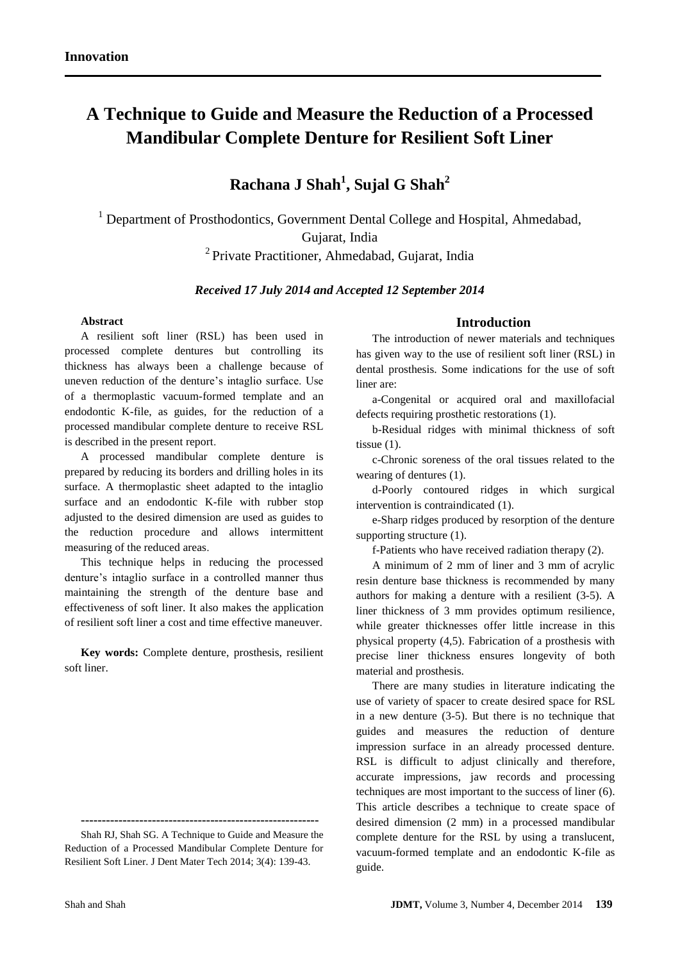# **A Technique to Guide and Measure the Reduction of a Processed Mandibular Complete Denture for Resilient Soft Liner**

## **Rachana J Shah<sup>1</sup> , Sujal G Shah<sup>2</sup>**

<sup>1</sup> Department of Prosthodontics, Government Dental College and Hospital, Ahmedabad, Gujarat, India

<sup>2</sup> Private Practitioner, Ahmedabad, Gujarat, India

*Received 17 July 2014 and Accepted 12 September 2014*

#### **Abstract**

A resilient soft liner (RSL) has been used in processed complete dentures but controlling its thickness has always been a challenge because of uneven reduction of the denture's intaglio surface. Use of a thermoplastic vacuum-formed template and an endodontic K-file, as guides, for the reduction of a processed mandibular complete denture to receive RSL is described in the present report.

A processed mandibular complete denture is prepared by reducing its borders and drilling holes in its surface. A thermoplastic sheet adapted to the intaglio surface and an endodontic K-file with rubber stop adjusted to the desired dimension are used as guides to the reduction procedure and allows intermittent measuring of the reduced areas.

This technique helps in reducing the processed denture's intaglio surface in a controlled manner thus maintaining the strength of the denture base and effectiveness of soft liner. It also makes the application of resilient soft liner a cost and time effective maneuver.

**Key words:** Complete denture, prosthesis, resilient soft liner.

## **Introduction**

The introduction of newer materials and techniques has given way to the use of resilient soft liner (RSL) in dental prosthesis. Some indications for the use of soft liner are:

a-Congenital or acquired oral and maxillofacial defects requiring prosthetic restorations (1).

b-Residual ridges with minimal thickness of soft tissue (1).

c-Chronic soreness of the oral tissues related to the wearing of dentures (1).

d-Poorly contoured ridges in which surgical intervention is contraindicated (1).

e-Sharp ridges produced by resorption of the denture supporting structure  $(1)$ .

f-Patients who have received radiation therapy (2).

A minimum of 2 mm of liner and 3 mm of acrylic resin denture base thickness is recommended by many authors for making a denture with a resilient (3-5). A liner thickness of 3 mm provides optimum resilience, while greater thicknesses offer little increase in this physical property (4,5). Fabrication of a prosthesis with precise liner thickness ensures longevity of both material and prosthesis.

There are many studies in literature indicating the use of variety of spacer to create desired space for RSL in a new denture (3-5). But there is no technique that guides and measures the reduction of denture impression surface in an already processed denture. RSL is difficult to adjust clinically and therefore, accurate impressions, jaw records and processing techniques are most important to the success of liner (6). This article describes a technique to create space of desired dimension (2 mm) in a processed mandibular complete denture for the RSL by using a translucent, vacuum-formed template and an endodontic K-file as guide.

**<sup>---------------------------------------------------------</sup>**

Shah RJ, Shah SG. A Technique to Guide and Measure the Reduction of a Processed Mandibular Complete Denture for Resilient Soft Liner. J Dent Mater Tech 2014; 3(4): 139-43.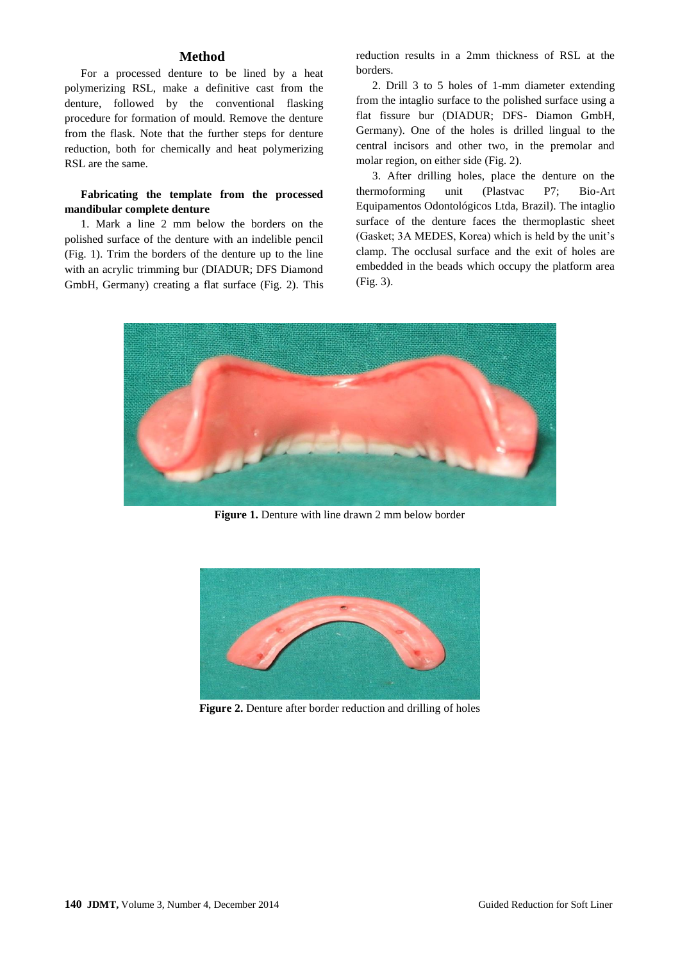#### **Method**

For a processed denture to be lined by a heat polymerizing RSL, make a definitive cast from the denture, followed by the conventional flasking procedure for formation of mould. Remove the denture from the flask. Note that the further steps for denture reduction, both for chemically and heat polymerizing RSL are the same.

## **Fabricating the template from the processed mandibular complete denture**

1. Mark a line 2 mm below the borders on the polished surface of the denture with an indelible pencil (Fig. 1). Trim the borders of the denture up to the line with an acrylic trimming bur (DIADUR; DFS Diamond GmbH, Germany) creating a flat surface (Fig. 2). This

reduction results in a 2mm thickness of RSL at the borders.

2. Drill 3 to 5 holes of 1-mm diameter extending from the intaglio surface to the polished surface using a flat fissure bur (DIADUR; DFS- Diamon GmbH, Germany). One of the holes is drilled lingual to the central incisors and other two, in the premolar and molar region, on either side (Fig. 2).

3. After drilling holes, place the denture on the thermoforming unit (Plastvac P7; Bio-Art Equipamentos Odontológicos Ltda, Brazil). The intaglio surface of the denture faces the thermoplastic sheet (Gasket; 3A MEDES, Korea) which is held by the unit's clamp. The occlusal surface and the exit of holes are embedded in the beads which occupy the platform area (Fig. 3).



**Figure 1.** Denture with line drawn 2 mm below border



**Figure 2.** Denture after border reduction and drilling of holes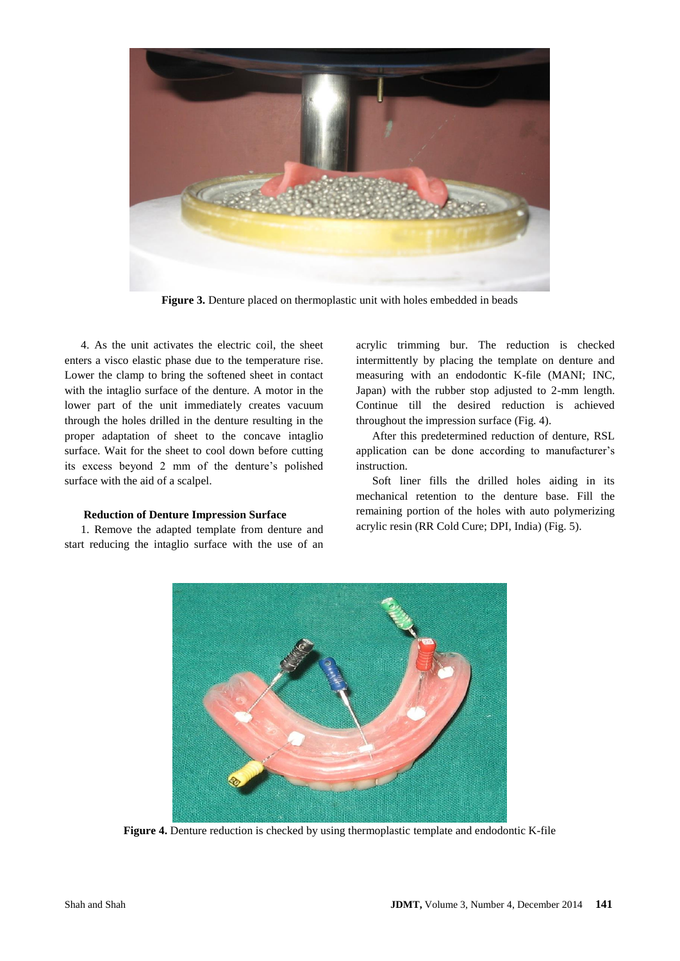

**Figure 3.** Denture placed on thermoplastic unit with holes embedded in beads

4. As the unit activates the electric coil, the sheet enters a visco elastic phase due to the temperature rise. Lower the clamp to bring the softened sheet in contact with the intaglio surface of the denture. A motor in the lower part of the unit immediately creates vacuum through the holes drilled in the denture resulting in the proper adaptation of sheet to the concave intaglio surface. Wait for the sheet to cool down before cutting its excess beyond 2 mm of the denture's polished surface with the aid of a scalpel.

#### **Reduction of Denture Impression Surface**

1. Remove the adapted template from denture and start reducing the intaglio surface with the use of an acrylic trimming bur. The reduction is checked intermittently by placing the template on denture and measuring with an endodontic K-file (MANI; INC, Japan) with the rubber stop adjusted to 2-mm length. Continue till the desired reduction is achieved throughout the impression surface (Fig. 4).

After this predetermined reduction of denture, RSL application can be done according to manufacturer's instruction.

Soft liner fills the drilled holes aiding in its mechanical retention to the denture base. Fill the remaining portion of the holes with auto polymerizing acrylic resin (RR Cold Cure; DPI, India) (Fig. 5).



**Figure 4.** Denture reduction is checked by using thermoplastic template and endodontic K-file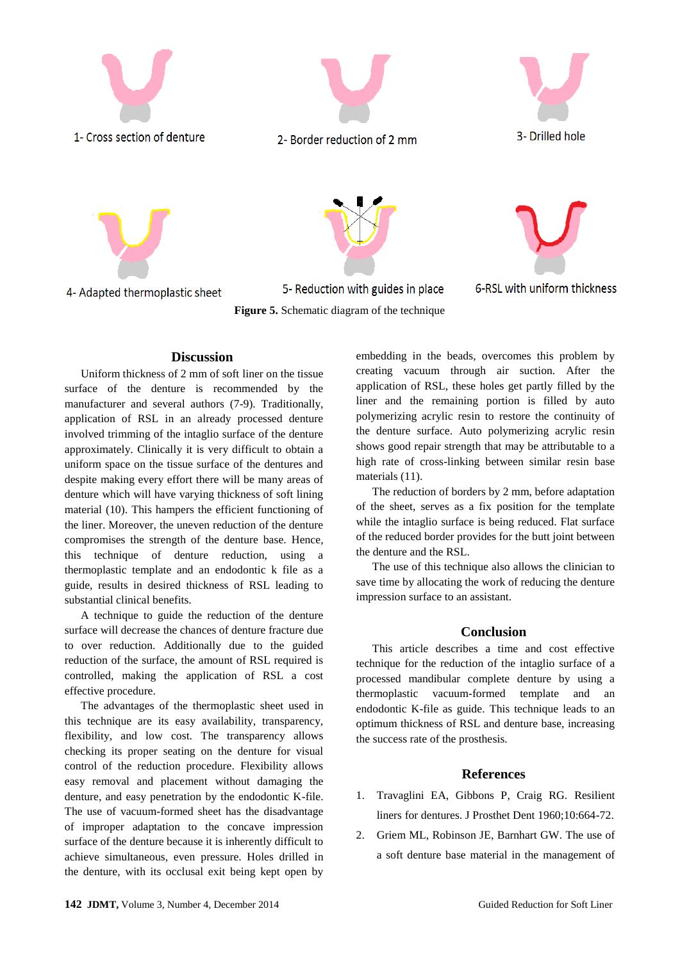

**Discussion**

Uniform thickness of 2 mm of soft liner on the tissue surface of the denture is recommended by the manufacturer and several authors (7-9). Traditionally, application of RSL in an already processed denture involved trimming of the intaglio surface of the denture approximately. Clinically it is very difficult to obtain a uniform space on the tissue surface of the dentures and despite making every effort there will be many areas of denture which will have varying thickness of soft lining material (10). This hampers the efficient functioning of the liner. Moreover, the uneven reduction of the denture compromises the strength of the denture base. Hence, this technique of denture reduction, using a thermoplastic template and an endodontic k file as a guide, results in desired thickness of RSL leading to substantial clinical benefits.

A technique to guide the reduction of the denture surface will decrease the chances of denture fracture due to over reduction. Additionally due to the guided reduction of the surface, the amount of RSL required is controlled, making the application of RSL a cost effective procedure.

The advantages of the thermoplastic sheet used in this technique are its easy availability, transparency, flexibility, and low cost. The transparency allows checking its proper seating on the denture for visual control of the reduction procedure. Flexibility allows easy removal and placement without damaging the denture, and easy penetration by the endodontic K-file. The use of vacuum-formed sheet has the disadvantage of improper adaptation to the concave impression surface of the denture because it is inherently difficult to achieve simultaneous, even pressure. Holes drilled in the denture, with its occlusal exit being kept open by

embedding in the beads, overcomes this problem by creating vacuum through air suction. After the application of RSL, these holes get partly filled by the liner and the remaining portion is filled by auto polymerizing acrylic resin to restore the continuity of the denture surface. Auto polymerizing acrylic resin shows good repair strength that may be attributable to a high rate of cross-linking between similar resin base materials (11).

The reduction of borders by 2 mm, before adaptation of the sheet, serves as a fix position for the template while the intaglio surface is being reduced. Flat surface of the reduced border provides for the butt joint between the denture and the RSL.

The use of this technique also allows the clinician to save time by allocating the work of reducing the denture impression surface to an assistant.

#### **Conclusion**

This article describes a time and cost effective technique for the reduction of the intaglio surface of a processed mandibular complete denture by using a thermoplastic vacuum-formed template and an endodontic K-file as guide. This technique leads to an optimum thickness of RSL and denture base, increasing the success rate of the prosthesis.

#### **References**

- 1. Travaglini EA, Gibbons P, Craig RG. Resilient liners for dentures. J Prosthet Dent 1960;10:664-72.
- 2. Griem ML, Robinson JE, Barnhart GW. The use of a soft denture base material in the management of